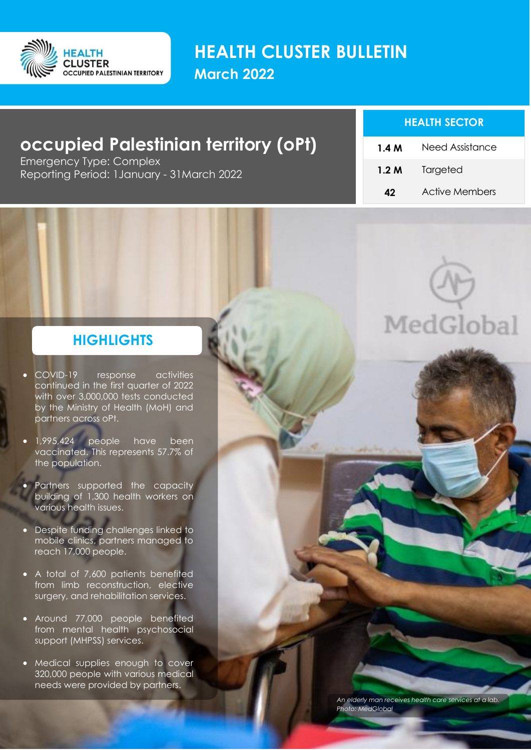

### **HEALTH CLUSTER BULLETIN March 2022**

## **occupied Palestinian territory (oPt)**

Emergency Type: Complex Reporting Period: 1January - 31March 2022

#### **HEALTH SECTOR**

| 1.4 M | Need Assistance       |
|-------|-----------------------|
| 1.2 M | Targeted              |
| 42    | <b>Active Members</b> |



### **HIGHLIGHTS**

- COVID-19 response activities continued in the first quarter of 2022 with over 3,000,000 tests conducted by the Ministry of Health (MoH) and partners across oPt.
- 1,995,424 people have been vaccinated. This represents 57.7% of the population.
- Partners supported the capacity building of 1,300 health workers on various health issues.
- Despite funding challenges linked to mobile clinics, partners managed to reach 17,000 people.
- A total of 7,600 patients benefited from limb reconstruction, elective surgery, and rehabilitation services.
- Around 77,000 people benefited from mental health psychosocial support (MHPSS) services.
- Medical supplies enough to cover 320,000 people with various medical needs were provided by partners.

*An elderly man receives health care services at a lab. Photo: MedGlobal*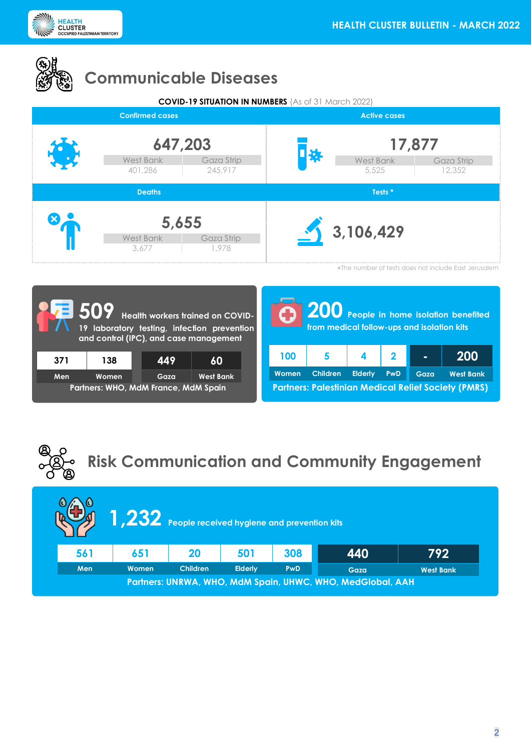



# **Communicable Diseases**

#### **COVID-19 SITUATION IN NUMBERS** (As of 31 March 2022)

| <b>Confirmed cases</b>                                   | <b>Active cases</b>                                       |  |  |  |
|----------------------------------------------------------|-----------------------------------------------------------|--|--|--|
| 647,203<br>West Bank<br>Gaza Strip<br>245,917<br>401,286 | 17,877<br>说<br>West Bank<br>Gaza Strip<br>12,352<br>5,525 |  |  |  |
| <b>Deaths</b>                                            | Tests <sup>*</sup>                                        |  |  |  |
| 5,655<br>West Bank<br>Gaza Strip<br>3,677<br>1,978       | 3,106,429                                                 |  |  |  |

\* The number of tests does not include East Jerusalem



|                                                            | 200 People in home isolation benefited<br>from medical follow-ups and isolation kits |                |                         |      |                  |  |  |
|------------------------------------------------------------|--------------------------------------------------------------------------------------|----------------|-------------------------|------|------------------|--|--|
| 100                                                        |                                                                                      |                | $\overline{\mathbf{2}}$ |      | 200              |  |  |
| Women                                                      | <b>Children</b>                                                                      | <b>Elderly</b> | <b>PwD</b>              | Gaza | <b>West Bank</b> |  |  |
| <b>Partners: Palestinian Medical Relief Society (PMRS)</b> |                                                                                      |                |                         |      |                  |  |  |



|     | $\bf 1$ , $\bf 232$ People received hygiene and prevention kits $\bf 1$ |                 |                |            |                                                            |                  |
|-----|-------------------------------------------------------------------------|-----------------|----------------|------------|------------------------------------------------------------|------------------|
| 561 | 651                                                                     | 20              | 501            | 308        | 440                                                        | 792              |
| Men | Women                                                                   | <b>Children</b> | <b>Elderly</b> | <b>PwD</b> | Gaza                                                       | <b>West Bank</b> |
|     |                                                                         |                 |                |            | Partners: UNRWA, WHO, MdM Spain, UHWC, WHO, MedGlobal, AAH |                  |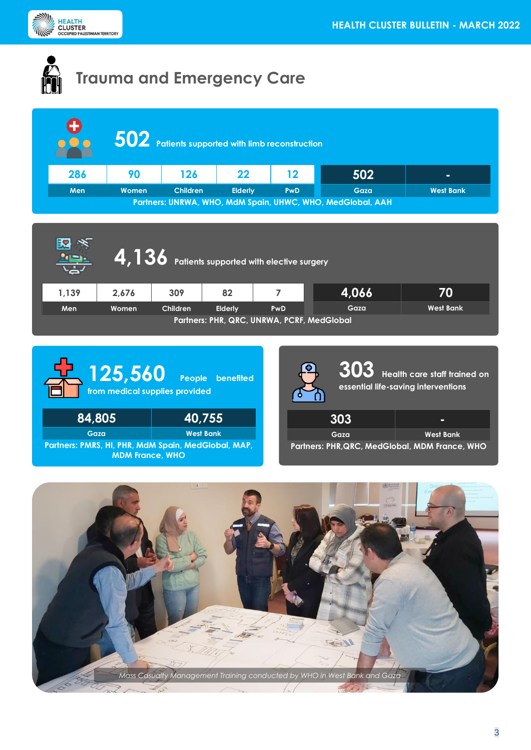

# **Trauma and Emergency Care**

| $\bullet$ |       |                 |                | 502 Patients supported with limb reconstruction |                                                            |                  |
|-----------|-------|-----------------|----------------|-------------------------------------------------|------------------------------------------------------------|------------------|
| 286       | 90    | 126             | 22             | 12                                              | 502                                                        | ۰.               |
| Men       | Women | <b>Children</b> | <b>Elderly</b> | PwD                                             | Gaza                                                       | <b>West Bank</b> |
|           |       |                 |                |                                                 | Partners: UNRWA, WHO, MdM Spain, UHWC, WHO, MedGlobal, AAH |                  |

| à.                                         |       |                 |         | 4,136 Patients supported with elective surgery |       |                  |
|--------------------------------------------|-------|-----------------|---------|------------------------------------------------|-------|------------------|
| 1,139                                      | 2,676 | 309             | 82      |                                                | 4,066 | 70               |
| Men                                        | Women | <b>Children</b> | Elderly | <b>PwD</b>                                     | Gaza  | <b>West Bank</b> |
| Partners: PHR, QRC, UNRWA, PCRF, MedGlobal |       |                 |         |                                                |       |                  |



**MDM France, WHO**

**303 Health care staff trained on essential life-saving interventions 303 - Gaza West Bank**

**Partners: PHR,QRC, MedGlobal, MDM France, WHO**

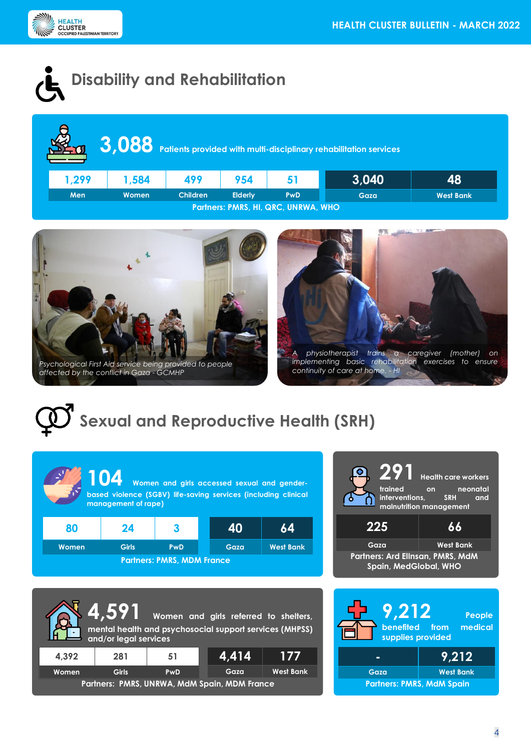



| 3,088 Patients provided with multi-disciplinary rehabilitation services |       |     |     |    |       |    |  |
|-------------------------------------------------------------------------|-------|-----|-----|----|-------|----|--|
| 1,299                                                                   | 1,584 | 499 | 954 | 51 | 3,040 | 48 |  |
|                                                                         |       |     |     |    |       |    |  |





# **Sexual and Reproductive Health (SRH)**

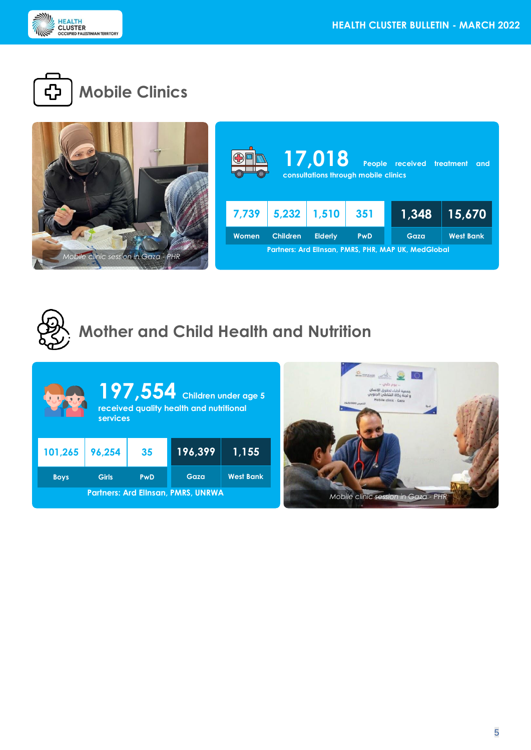







| $197,554$ Children under age 5<br>received quality health and nutritional<br>services |              |     |         |                  |  |  |
|---------------------------------------------------------------------------------------|--------------|-----|---------|------------------|--|--|
| 101,265                                                                               | 96,254       | 35  | 196,399 | 1,155            |  |  |
| <b>Boys</b>                                                                           | <b>Girls</b> | PwD | Gaza    | <b>West Bank</b> |  |  |
| <b>Partners: Ard Ellnsan, PMRS, UNRWA</b>                                             |              |     |         |                  |  |  |

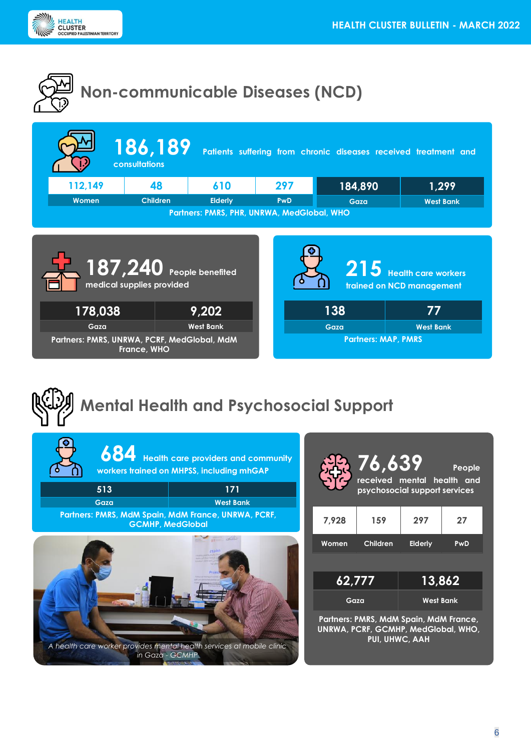



# **Mental Health and Psychosocial Support**

|                       | 684 Health care providers and community<br>workers trained on MHPSS, including mhGAP     |      |
|-----------------------|------------------------------------------------------------------------------------------|------|
|                       | 171                                                                                      | 513  |
|                       | <b>West Bank</b>                                                                         | Gaza |
| 7,92                  | Partners: PMRS, MdM Spain, MdM France, UNRWA, PCRF,<br><b>GCMHP, MedGlobal</b>           |      |
| Wom                   |                                                                                          |      |
|                       |                                                                                          |      |
| Partne<br><b>UNRW</b> |                                                                                          |      |
|                       | A health care worker provides mental health services at mobile clinic<br>in Gaza - GCMHP |      |

|               | 76,639<br>received mental health<br>psychosocial support services             |                  | People<br>and |  |
|---------------|-------------------------------------------------------------------------------|------------------|---------------|--|
| 7,928         | 159                                                                           | 297              | 27            |  |
| Women         | Children                                                                      | <b>Elderly</b>   | PwD           |  |
|               |                                                                               |                  |               |  |
| <u>62,777</u> |                                                                               | 13,862           |               |  |
| Gaza          |                                                                               | <b>West Bank</b> |               |  |
|               | Partners: PMRS, MdM Spain, MdM France,<br>UNRWA, PCRF, GCMHP, MedGlobal, WHO, |                  |               |  |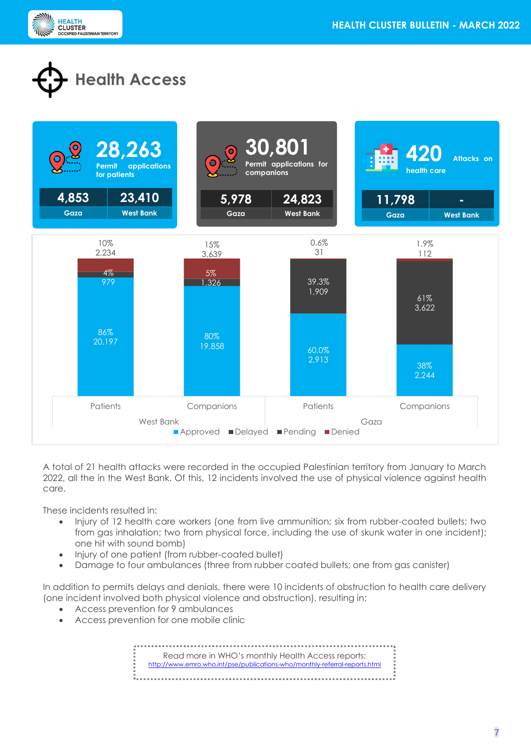



| $\bullet$ | 28,263<br>applications<br>Permit<br>for patients | $\bullet$<br>$\bullet$               | 30,801<br>Permit applications for<br>companions     | 420<br>health care | <b>Attacks</b> on |
|-----------|--------------------------------------------------|--------------------------------------|-----------------------------------------------------|--------------------|-------------------|
| 4,853     | 23,410                                           | 5,978                                | 24,823                                              | 11,798             | $\blacksquare$    |
| Gaza      | <b>West Bank</b>                                 | Gaza                                 | <b>West Bank</b>                                    | Gaza               | <b>West Bank</b>  |
|           | 10%<br>2,234                                     | 15%<br>3,639                         | 0.6%<br>31                                          | 1.9%<br>112        |                   |
|           | 4%<br>979                                        | 5%<br>1,326                          | 39.3%<br>1,909                                      | 61%<br>3,622       |                   |
|           | 86%<br>20,197                                    | 80%<br>19,858                        | 60.0%<br>2,913                                      | 38%<br>2,244       |                   |
|           | Patients<br>West Bank                            | Companions<br>■Delayed<br>■ Approved | Patients<br>$\blacksquare$ Pending<br><b>Denied</b> | Companions<br>Gaza |                   |

A total of 21 health attacks were recorded in the occupied Palestinian territory from January to March 2022, all the in the West Bank. Of this, 12 incidents involved the use of physical violence against health care.

These incidents resulted in:

- Injury of 12 health care workers (one from live ammunition; six from rubber-coated bullets; two from gas inhalation; two from physical force, including the use of skunk water in one incident); one hit with sound bomb)
- Injury of one patient (from rubber-coated bullet)
- Damage to four ambulances (three from rubber coated bullets; one from gas canister)

In addition to permits delays and denials, there were 10 incidents of obstruction to health care delivery (one incident involved both physical violence and obstruction), resulting in:

- Access prevention for 9 ambulances
- Access prevention for one mobile clinic

Read more in WHO's monthly Health Access reports: <http://www.emro.who.int/pse/publications-who/monthly-referral-reports.html>